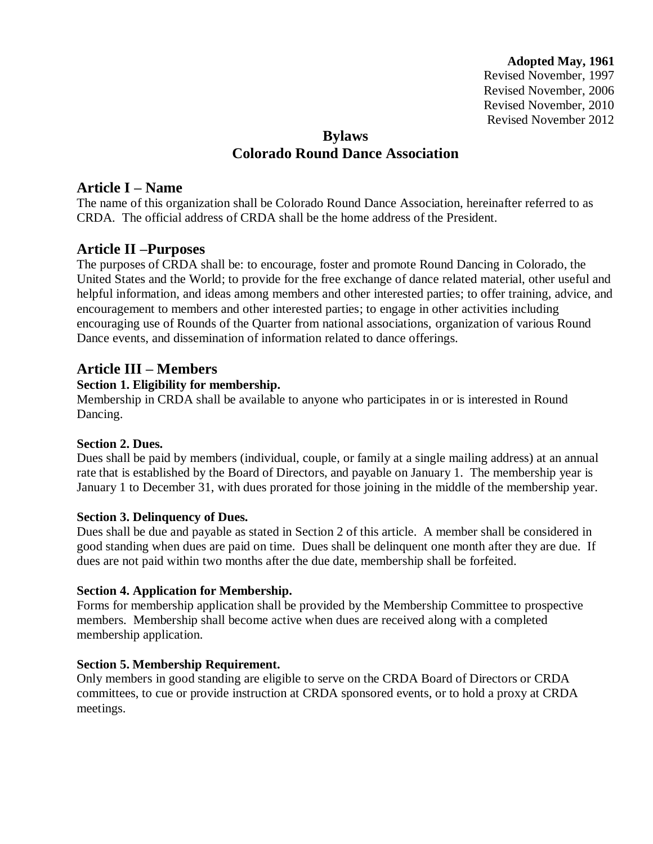**Adopted May, 1961**

Revised November, 1997 Revised November, 2006 Revised November, 2010 Revised November 2012

# **Bylaws Colorado Round Dance Association**

## **Article I – Name**

The name of this organization shall be Colorado Round Dance Association, hereinafter referred to as CRDA. The official address of CRDA shall be the home address of the President.

# **Article II –Purposes**

The purposes of CRDA shall be: to encourage, foster and promote Round Dancing in Colorado, the United States and the World; to provide for the free exchange of dance related material, other useful and helpful information, and ideas among members and other interested parties; to offer training, advice, and encouragement to members and other interested parties; to engage in other activities including encouraging use of Rounds of the Quarter from national associations, organization of various Round Dance events, and dissemination of information related to dance offerings.

### **Article III – Members**

#### **Section 1. Eligibility for membership.**

Membership in CRDA shall be available to anyone who participates in or is interested in Round Dancing.

#### **Section 2. Dues.**

Dues shall be paid by members (individual, couple, or family at a single mailing address) at an annual rate that is established by the Board of Directors, and payable on January 1. The membership year is January 1 to December 31, with dues prorated for those joining in the middle of the membership year.

#### **Section 3. Delinquency of Dues.**

Dues shall be due and payable as stated in Section 2 of this article. A member shall be considered in good standing when dues are paid on time. Dues shall be delinquent one month after they are due. If dues are not paid within two months after the due date, membership shall be forfeited.

#### **Section 4. Application for Membership.**

Forms for membership application shall be provided by the Membership Committee to prospective members. Membership shall become active when dues are received along with a completed membership application.

#### **Section 5. Membership Requirement.**

Only members in good standing are eligible to serve on the CRDA Board of Directors or CRDA committees, to cue or provide instruction at CRDA sponsored events, or to hold a proxy at CRDA meetings.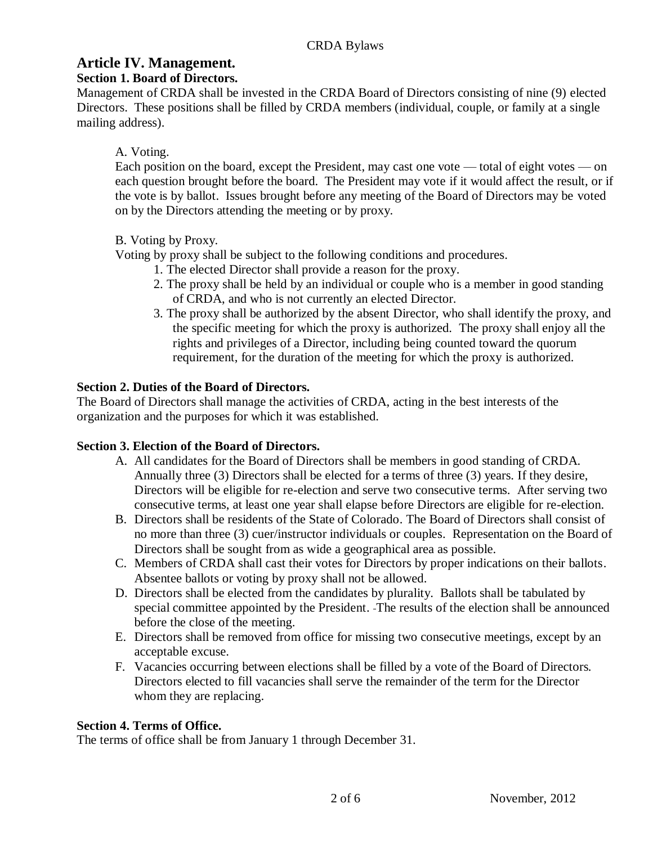# **Article IV. Management.**

## **Section 1. Board of Directors.**

Management of CRDA shall be invested in the CRDA Board of Directors consisting of nine (9) elected Directors. These positions shall be filled by CRDA members (individual, couple, or family at a single mailing address).

## A. Voting.

Each position on the board, except the President, may cast one vote — total of eight votes — on each question brought before the board. The President may vote if it would affect the result, or if the vote is by ballot. Issues brought before any meeting of the Board of Directors may be voted on by the Directors attending the meeting or by proxy.

## B. Voting by Proxy.

Voting by proxy shall be subject to the following conditions and procedures.

- 1. The elected Director shall provide a reason for the proxy.
- 2. The proxy shall be held by an individual or couple who is a member in good standing of CRDA, and who is not currently an elected Director.
- 3. The proxy shall be authorized by the absent Director, who shall identify the proxy, and the specific meeting for which the proxy is authorized. The proxy shall enjoy all the rights and privileges of a Director, including being counted toward the quorum requirement, for the duration of the meeting for which the proxy is authorized.

## **Section 2. Duties of the Board of Directors.**

The Board of Directors shall manage the activities of CRDA, acting in the best interests of the organization and the purposes for which it was established.

### **Section 3. Election of the Board of Directors.**

- A. All candidates for the Board of Directors shall be members in good standing of CRDA. Annually three (3) Directors shall be elected for a terms of three (3) years. If they desire, Directors will be eligible for re-election and serve two consecutive terms. After serving two consecutive terms, at least one year shall elapse before Directors are eligible for re-election.
- B. Directors shall be residents of the State of Colorado. The Board of Directors shall consist of no more than three (3) cuer/instructor individuals or couples. Representation on the Board of Directors shall be sought from as wide a geographical area as possible.
- C. Members of CRDA shall cast their votes for Directors by proper indications on their ballots. Absentee ballots or voting by proxy shall not be allowed.
- D. Directors shall be elected from the candidates by plurality. Ballots shall be tabulated by special committee appointed by the President. The results of the election shall be announced before the close of the meeting.
- E. Directors shall be removed from office for missing two consecutive meetings, except by an acceptable excuse.
- F. Vacancies occurring between elections shall be filled by a vote of the Board of Directors. Directors elected to fill vacancies shall serve the remainder of the term for the Director whom they are replacing.

### **Section 4. Terms of Office.**

The terms of office shall be from January 1 through December 31.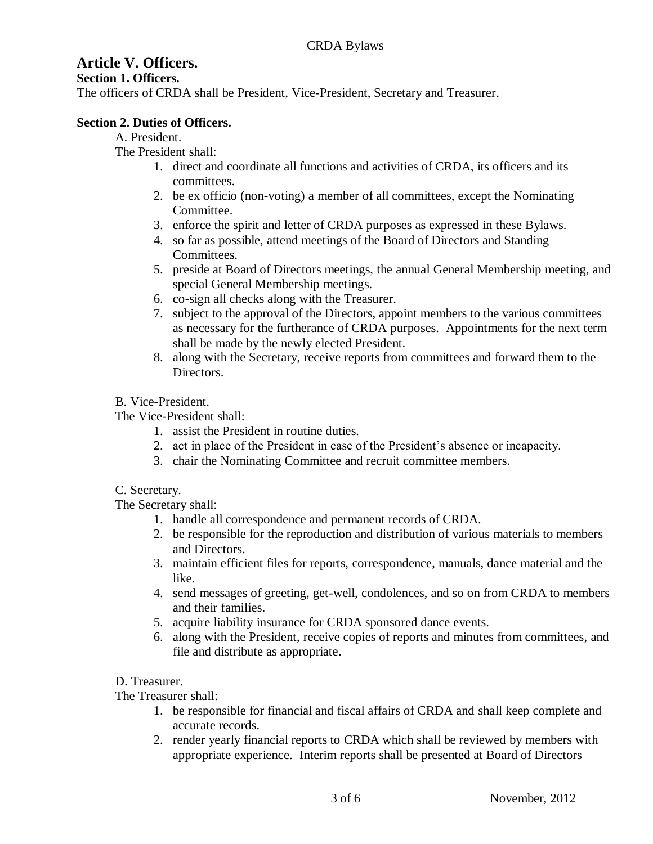# **Article V. Officers.**

#### **Section 1. Officers.**

The officers of CRDA shall be President, Vice-President, Secretary and Treasurer.

### **Section 2. Duties of Officers.**

A. President.

The President shall:

- 1. direct and coordinate all functions and activities of CRDA, its officers and its committees.
- 2. be ex officio (non-voting) a member of all committees, except the Nominating Committee.
- 3. enforce the spirit and letter of CRDA purposes as expressed in these Bylaws.
- 4. so far as possible, attend meetings of the Board of Directors and Standing Committees.
- 5. preside at Board of Directors meetings, the annual General Membership meeting, and special General Membership meetings.
- 6. co-sign all checks along with the Treasurer.
- 7. subject to the approval of the Directors, appoint members to the various committees as necessary for the furtherance of CRDA purposes. Appointments for the next term shall be made by the newly elected President.
- 8. along with the Secretary, receive reports from committees and forward them to the **Directors**

## B. Vice-President.

The Vice-President shall:

- 1. assist the President in routine duties.
- 2. act in place of the President in case of the President's absence or incapacity.
- 3. chair the Nominating Committee and recruit committee members.

### C. Secretary.

The Secretary shall:

- 1. handle all correspondence and permanent records of CRDA.
- 2. be responsible for the reproduction and distribution of various materials to members and Directors.
- 3. maintain efficient files for reports, correspondence, manuals, dance material and the like.
- 4. send messages of greeting, get-well, condolences, and so on from CRDA to members and their families.
- 5. acquire liability insurance for CRDA sponsored dance events.
- 6. along with the President, receive copies of reports and minutes from committees, and file and distribute as appropriate.

# D. Treasurer.

The Treasurer shall:

- 1. be responsible for financial and fiscal affairs of CRDA and shall keep complete and accurate records.
- 2. render yearly financial reports to CRDA which shall be reviewed by members with appropriate experience. Interim reports shall be presented at Board of Directors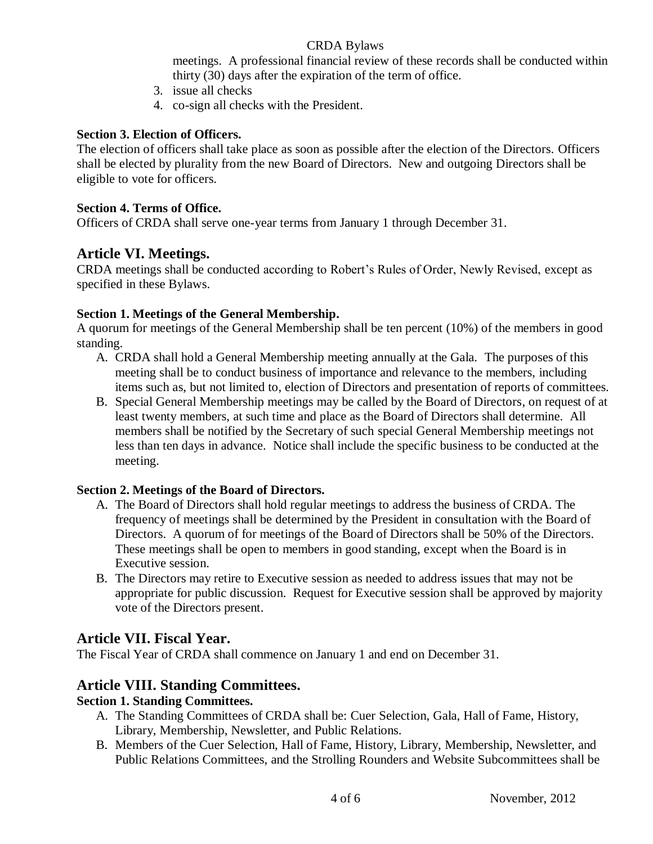### CRDA Bylaws

meetings. A professional financial review of these records shall be conducted within thirty (30) days after the expiration of the term of office.

- 3. issue all checks
- 4. co-sign all checks with the President.

### **Section 3. Election of Officers.**

The election of officers shall take place as soon as possible after the election of the Directors. Officers shall be elected by plurality from the new Board of Directors. New and outgoing Directors shall be eligible to vote for officers.

### **Section 4. Terms of Office.**

Officers of CRDA shall serve one-year terms from January 1 through December 31.

# **Article VI. Meetings.**

CRDA meetings shall be conducted according to Robert's Rules of Order, Newly Revised, except as specified in these Bylaws.

## **Section 1. Meetings of the General Membership.**

A quorum for meetings of the General Membership shall be ten percent (10%) of the members in good standing.

- A. CRDA shall hold a General Membership meeting annually at the Gala. The purposes of this meeting shall be to conduct business of importance and relevance to the members, including items such as, but not limited to, election of Directors and presentation of reports of committees.
- B. Special General Membership meetings may be called by the Board of Directors, on request of at least twenty members, at such time and place as the Board of Directors shall determine. All members shall be notified by the Secretary of such special General Membership meetings not less than ten days in advance. Notice shall include the specific business to be conducted at the meeting.

### **Section 2. Meetings of the Board of Directors.**

- A. The Board of Directors shall hold regular meetings to address the business of CRDA. The frequency of meetings shall be determined by the President in consultation with the Board of Directors. A quorum of for meetings of the Board of Directors shall be 50% of the Directors. These meetings shall be open to members in good standing, except when the Board is in Executive session.
- B. The Directors may retire to Executive session as needed to address issues that may not be appropriate for public discussion. Request for Executive session shall be approved by majority vote of the Directors present.

# **Article VII. Fiscal Year.**

The Fiscal Year of CRDA shall commence on January 1 and end on December 31.

# **Article VIII. Standing Committees.**

### **Section 1. Standing Committees.**

- A. The Standing Committees of CRDA shall be: Cuer Selection, Gala, Hall of Fame, History, Library, Membership, Newsletter, and Public Relations.
- B. Members of the Cuer Selection, Hall of Fame, History, Library, Membership, Newsletter, and Public Relations Committees, and the Strolling Rounders and Website Subcommittees shall be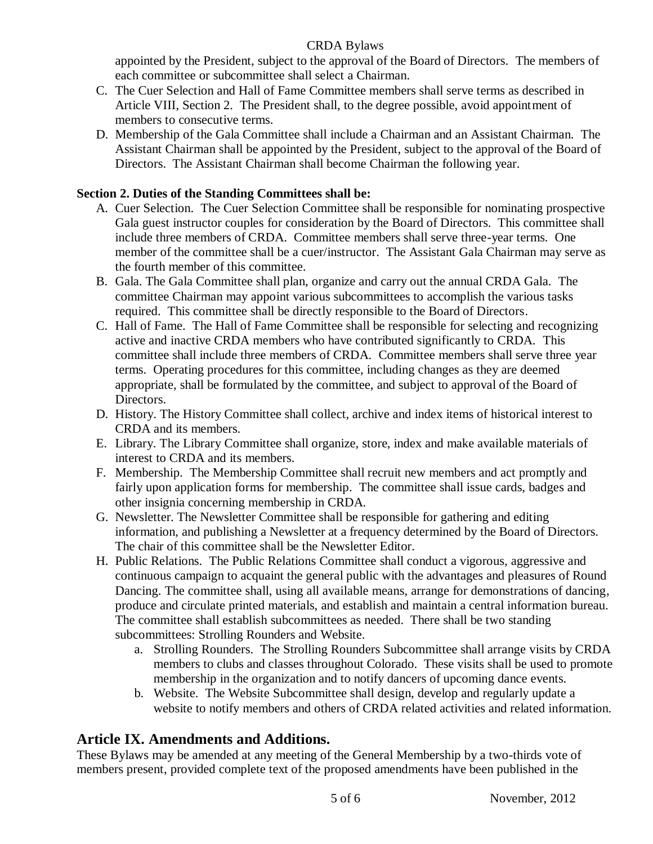### CRDA Bylaws

appointed by the President, subject to the approval of the Board of Directors. The members of each committee or subcommittee shall select a Chairman.

- C. The Cuer Selection and Hall of Fame Committee members shall serve terms as described in Article VIII, Section 2. The President shall, to the degree possible, avoid appointment of members to consecutive terms.
- D. Membership of the Gala Committee shall include a Chairman and an Assistant Chairman. The Assistant Chairman shall be appointed by the President, subject to the approval of the Board of Directors. The Assistant Chairman shall become Chairman the following year.

## **Section 2. Duties of the Standing Committees shall be:**

- A. Cuer Selection. The Cuer Selection Committee shall be responsible for nominating prospective Gala guest instructor couples for consideration by the Board of Directors. This committee shall include three members of CRDA. Committee members shall serve three-year terms. One member of the committee shall be a cuer/instructor. The Assistant Gala Chairman may serve as the fourth member of this committee.
- B. Gala. The Gala Committee shall plan, organize and carry out the annual CRDA Gala. The committee Chairman may appoint various subcommittees to accomplish the various tasks required. This committee shall be directly responsible to the Board of Directors.
- C. Hall of Fame. The Hall of Fame Committee shall be responsible for selecting and recognizing active and inactive CRDA members who have contributed significantly to CRDA. This committee shall include three members of CRDA. Committee members shall serve three year terms. Operating procedures for this committee, including changes as they are deemed appropriate, shall be formulated by the committee, and subject to approval of the Board of Directors.
- D. History. The History Committee shall collect, archive and index items of historical interest to CRDA and its members.
- E. Library. The Library Committee shall organize, store, index and make available materials of interest to CRDA and its members.
- F. Membership. The Membership Committee shall recruit new members and act promptly and fairly upon application forms for membership. The committee shall issue cards, badges and other insignia concerning membership in CRDA.
- G. Newsletter. The Newsletter Committee shall be responsible for gathering and editing information, and publishing a Newsletter at a frequency determined by the Board of Directors. The chair of this committee shall be the Newsletter Editor.
- H. Public Relations. The Public Relations Committee shall conduct a vigorous, aggressive and continuous campaign to acquaint the general public with the advantages and pleasures of Round Dancing. The committee shall, using all available means, arrange for demonstrations of dancing, produce and circulate printed materials, and establish and maintain a central information bureau. The committee shall establish subcommittees as needed. There shall be two standing subcommittees: Strolling Rounders and Website.
	- a. Strolling Rounders. The Strolling Rounders Subcommittee shall arrange visits by CRDA members to clubs and classes throughout Colorado. These visits shall be used to promote membership in the organization and to notify dancers of upcoming dance events.
	- b. Website. The Website Subcommittee shall design, develop and regularly update a website to notify members and others of CRDA related activities and related information.

# **Article IX. Amendments and Additions.**

These Bylaws may be amended at any meeting of the General Membership by a two-thirds vote of members present, provided complete text of the proposed amendments have been published in the